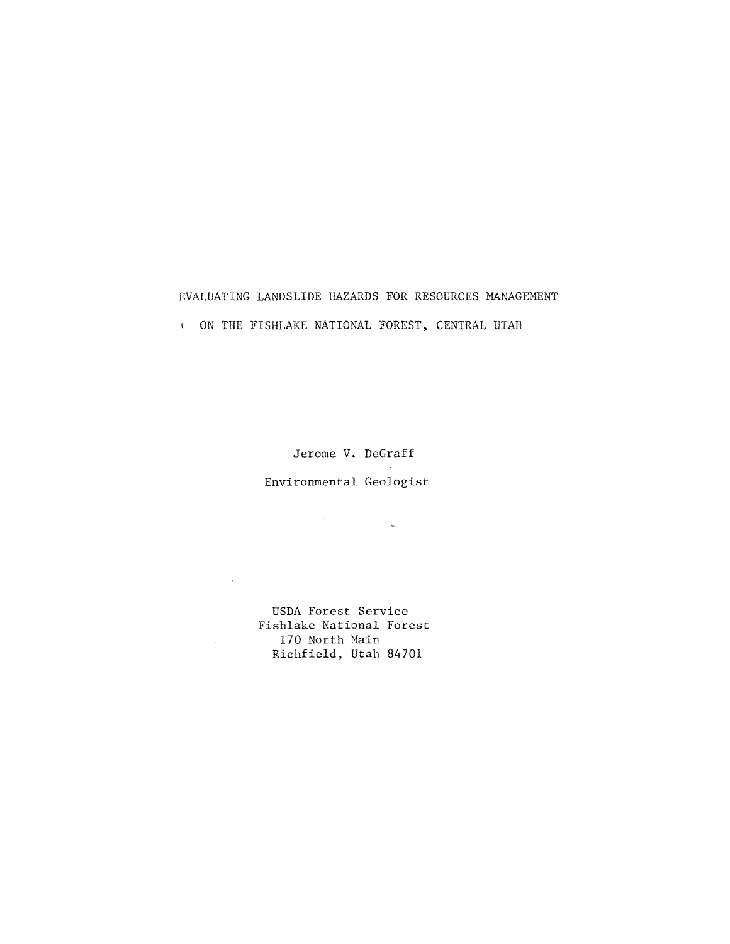# EVALUATING LANDSLIDE HAZARDS FOR RESOURCES MANAGEMENT

ON THE FISHLAKE NATIONAL FOREST, CENTRAL UTAH

Jerome V. DeGraff

 $\label{eq:2.1} \frac{1}{\sqrt{2\pi}}\sum_{i=1}^n\frac{1}{\sqrt{2\pi}}\left(\frac{1}{\sqrt{2\pi}}\right)^2\frac{1}{\sqrt{2\pi}}\left(\frac{1}{\sqrt{2\pi}}\right)^2\frac{1}{\sqrt{2\pi}}\left(\frac{1}{\sqrt{2\pi}}\right)^2.$ 

Environmental Geologist

USDA Forest Service Fishlake National Forest 170 North Main Richfield, Utah 84701

 $\sim$   $\mu$   $^{-1}$ 

 $\mathcal{A}^{\pm}$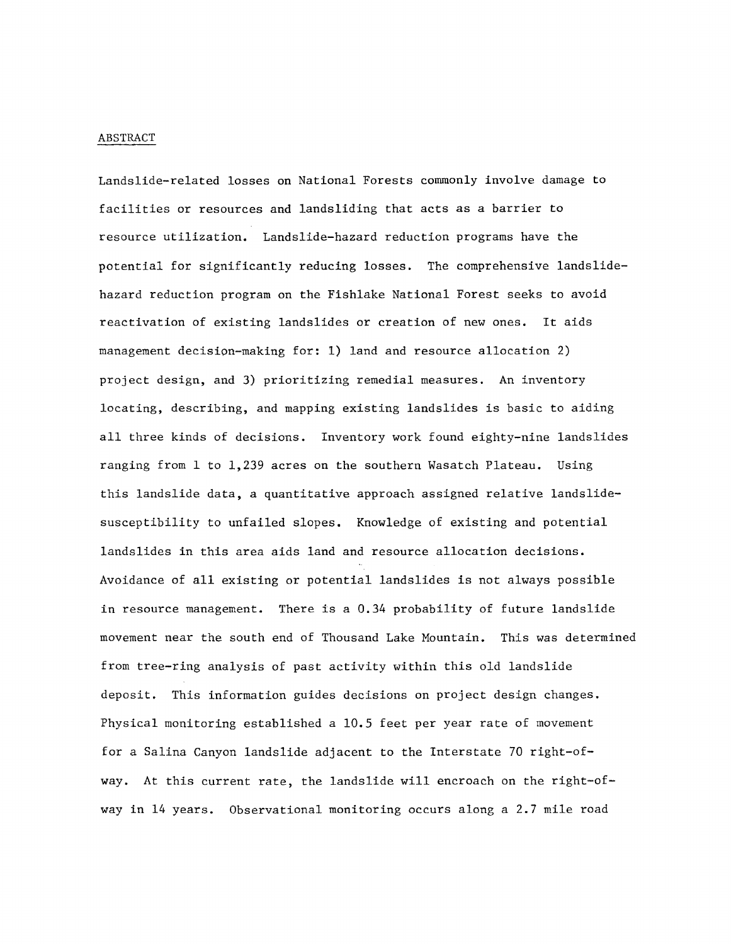## ABSTRACT

Landslide-related losses on National Forests commonly involve damage to facilities or resources and landsliding that acts as a barrier to resource utilization. Landslide-hazard reduction programs have the potential for significantly reducing losses. The comprehensive landslidehazard reduction program on the Fishlake National Forest seeks to avoid reactivation of existing landslides or creation of new ones. It aids management decision-making for: 1) land and resource allocation 2) project design, and 3) prioritizing remedial measures. An inventory locating, describing, and mapping existing landslides is basic to aiding all three kinds of decisions. Inventory work found eighty-nine landslides ranging from 1 to 1,239 acres on the southern Wasatch Plateau. Using this landslide data, a quantitative approach assigned relative landslidesusceptibility to unfailed slopes. Knowledge of existing and potential landslides in this area aids land and resource allocation decisions. Avoidance of all existing or potential landslides is not always possible in resource management. There is a 0.34 probability of future landslide movement near the south end of Thousand Lake Mountain. This was determined from tree-ring analysis of past activity within this old landslide deposit. This information guides decisions on project design changes. Physical monitoring established a 10.5 feet per year rate of movement for a Salina Canyon landslide adjacent to the Interstate 70 right-ofway. At this current rate, the landslide will encroach on the right-ofway in 14 years. Observational monitoring occurs along a 2.7 mile road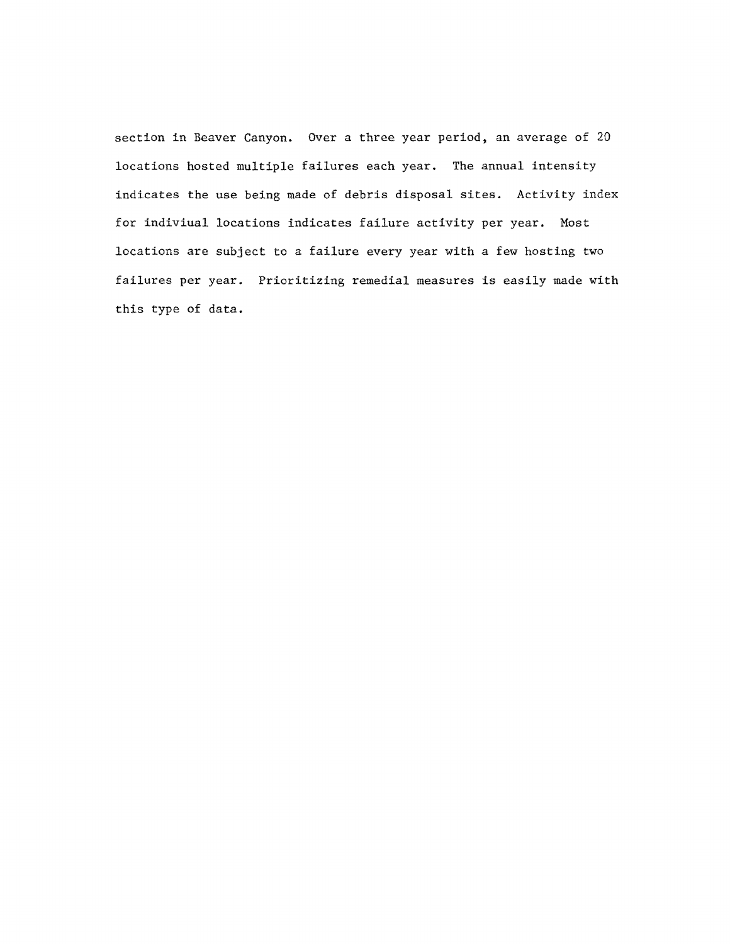section in Beaver Canyon. Over a three year period, an average of 20 locations hosted multiple failures each year. The annual intensity indicates the use being made of debris disposal sites. Activity index for indiviual locations indicates failure activity per year. Most locations are subject to a failure every year with a few hosting two failures per year. Prioritizing remedial measures is easily made with this type of data.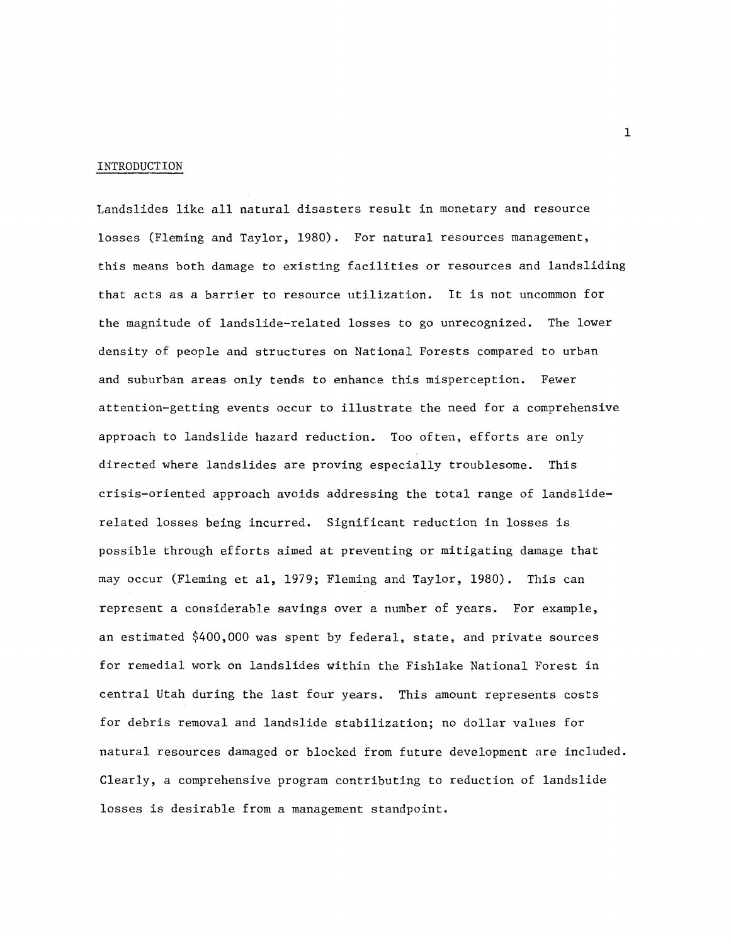### INTRODUCTION

Landslides like all natural disasters result in monetary and resource losses (Fleming and Taylor, 1980). For natural resources management, this means both damage to existing facilities or resources and landsliding that acts as a barrier to resource utilization. It is not uncommon for the magnitude of landslide-related losses to go unrecognized. The lower density of people and structures on National Forests compared to urban and suburban areas only tends to enhance this misperception. Fewer attention-getting events occur to illustrate the need for a comprehensive approach to landslide hazard reduction. Too often, efforts are only directed where landslides are proving especially troublesome. This crisis-oriented approach avoids addressing the total range of landsliderelated losses being incurred. Significant reduction in losses is possible through efforts aimed at preventing or mitigating damage that may occur (Fleming et aI, 1979; Fleming and Taylor, 1980). This can represent a considerable savings over a number of years. For example, an estimated \$400,000 was spent by federal, state, and private sources for remedial work on landslides within the Fishlake National Forest in central Utah during the last four years. This amount represents costs for debris removal and landslide stabilization; no dollar values for natural resources damaged or blocked from future development are included. Clearly, a comprehensive program contributing to reduction of landslide losses is desirable from a management standpoint.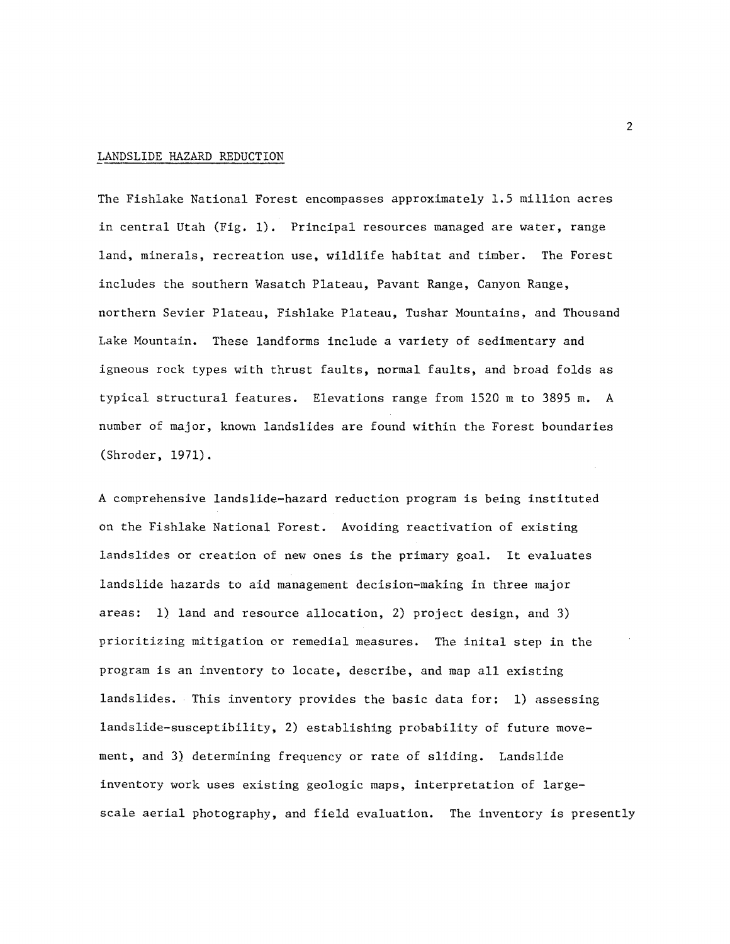### LANDSLIDE HAZARD REDUCTION

The Fish1ake National Forest encompasses approximately 1.5 million acres in central Utah (Fig. 1). Principal resources managed are water, range land, minerals, recreation use, wildlife habitat and timber. The Forest includes the southern Wasatch Plateau, Pavant Range, Canyon Range, northern Sevier Plateau, Fishlake Plateau, Tushar Mountains, and Thousand Lake Mountain. These landforms include a variety of sedimentary and igneous rock types with thrust faults, normal faults, and broad folds as typical structural features. Elevations range from 1520 m to 3895 **m.** A number of major, known landslides are found within the Forest boundaries (Shroder, 1971).

A comprehensive landslide-hazard reduction program is being instituted on the Fishlake National Forest. Avoiding reactivation of existing landslides or creation of new ones is the primary goal. It evaluates landslide hazards to aid management decision-making in three major areas: 1) land and resource allocation, 2) project design, and 3) prioritizing mitigation or remedial measures. The inital step in the program is an inventory to locate, describe, and map all existing landslides. This inventory provides the basic data for: 1) assessing landslide-susceptibility, 2) establishing probability of future movement, and 3) determining frequency or rate of sliding. Landslide inventory work uses existing geologic maps, interpretation of largescale aerial photography, and field evaluation. The inventory is presently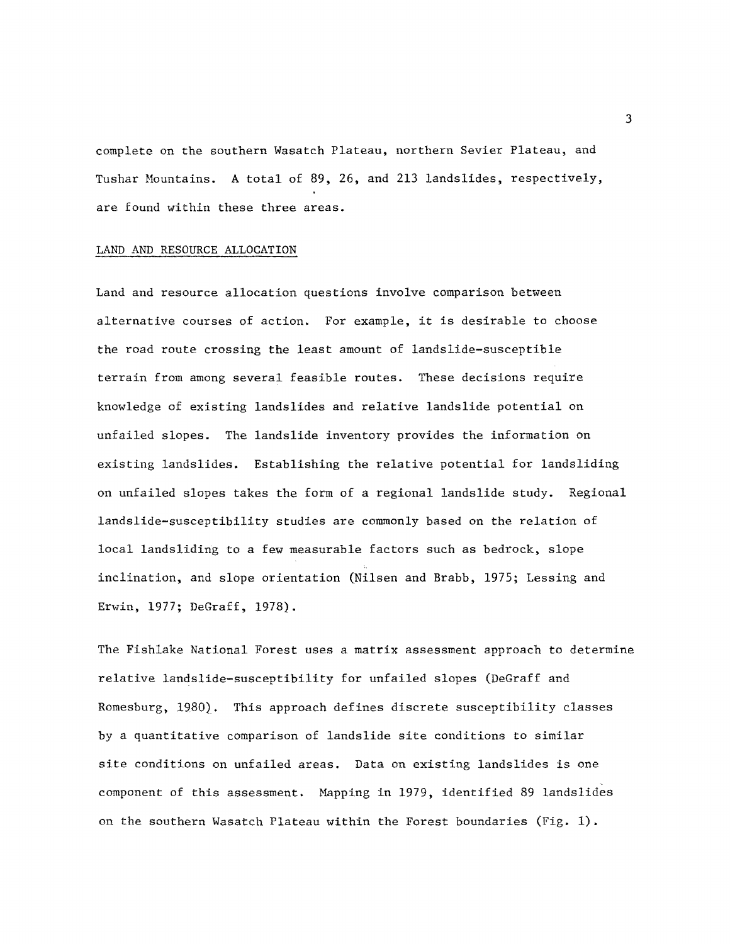complete on the southern Wasatch Plateau, northern Sevier Plateau, and Tushar Mountains. A total of 89, 26, and 213 landslides, respectively, are found within these three areas.

### LAND AND RESOURCE ALLOCATION

Land and resource allocation questions involve comparison between alternative courses of action. For example, it is desirable to choose the road route crossing the least amount of landslide-susceptible terrain from among several feasible routes. These decisions require knowledge of existing landslides and relative landslide potential on unfailed slopes. The landslide inventory provides the information on existing landslides. Establishing the relative potential for landsliding on unfailed slopes takes the form of a regional landslide study. Regional landslide-susceptibility studies are commonly based on the relation of local landsliding to a few measurable factors such as bedrock, slope inclination, and slope orientation (Nilsen and Brabb, 1975; Lessing and Erwin, 1977; DeGraff, 1978).

The Fishlake National Forest uses a matrix assessment approach to determine relative landslide-susceptibility for unfailed slopes (DeGraff and Romesburg, 1980). This approach defines discrete susceptibility classes by a quantitative comparison of landslide site conditions to similar site conditions on unfailed areas. Data on existing landslides is one component of this assessment. Mapping in 1979, identified 89 landslides on the southern Wasatch Plateau within the Forest boundaries (Fig. 1).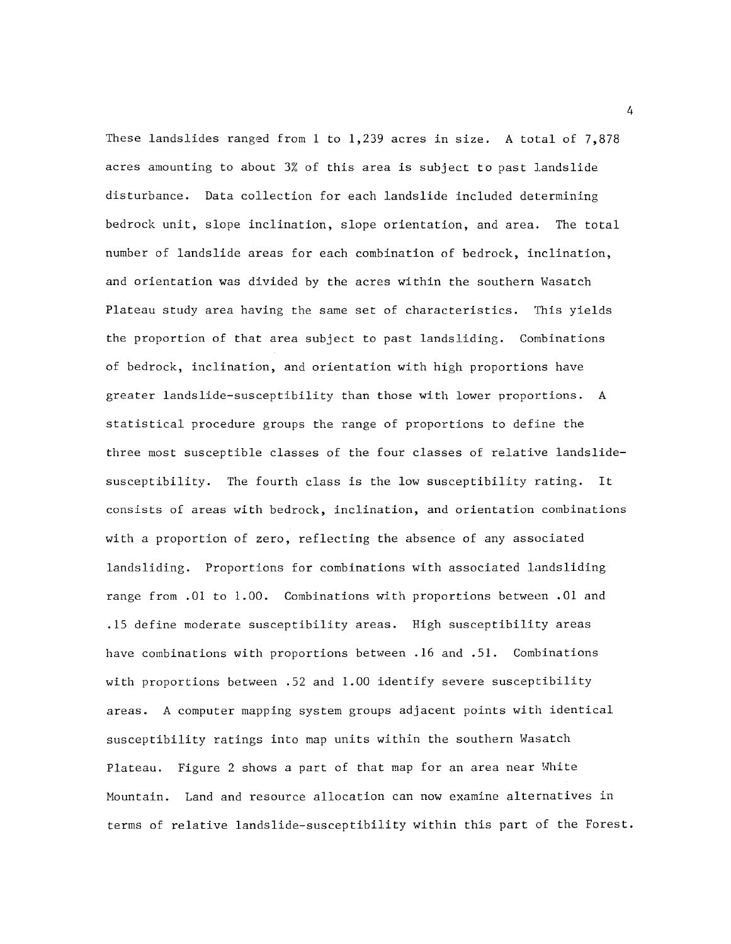These landslides ranged from 1 to 1,239 acres in size. A total of 7,878 acres amounting to about 3% of this area is subject to past landslide disturbance. Data collection for each landslide included determining bedrock unit, slope inclination, slope orientation, and area. The total number of landslide areas for each combination of bedrock, inclination, and orientation was divided by the acres within the southern Wasatch Plateau study area having the same set of characteristics. This yields the proportion of that area subject to past landsliding. Combinations of bedrock, inclination, and orientation with high proportions have greater landslide-susceptibility than those with lower proportions. A statistical procedure groups the range of proportions to define the three most susceptible classes of the four classes of relative landslidesusceptibility. The fourth class is the low susceptibility rating. It consists of areas with bedrock, inclination, and orientation combinations with a proportion of zero, reflecting the absence of any associated landsliding. Proportions for combinations with associated landsliding range from .01 to 1.00. Combinations with proportions between .01 and .15 define moderate susceptibility areas. High susceptibility areas have combinations with proportions between .16 and .51. Combinations with proportions between .52 and 1.00 identify severe susceptibility areas. A computer mapping system groups adjacent points with identical susceptibility ratings into map units within the southern Wasatch Plateau. Figure 2 shows a part of that map for an area near White Mountain. Land and resource allocation can now examine alternatives in terms of relative landslide-susceptibility within this part of the Forest.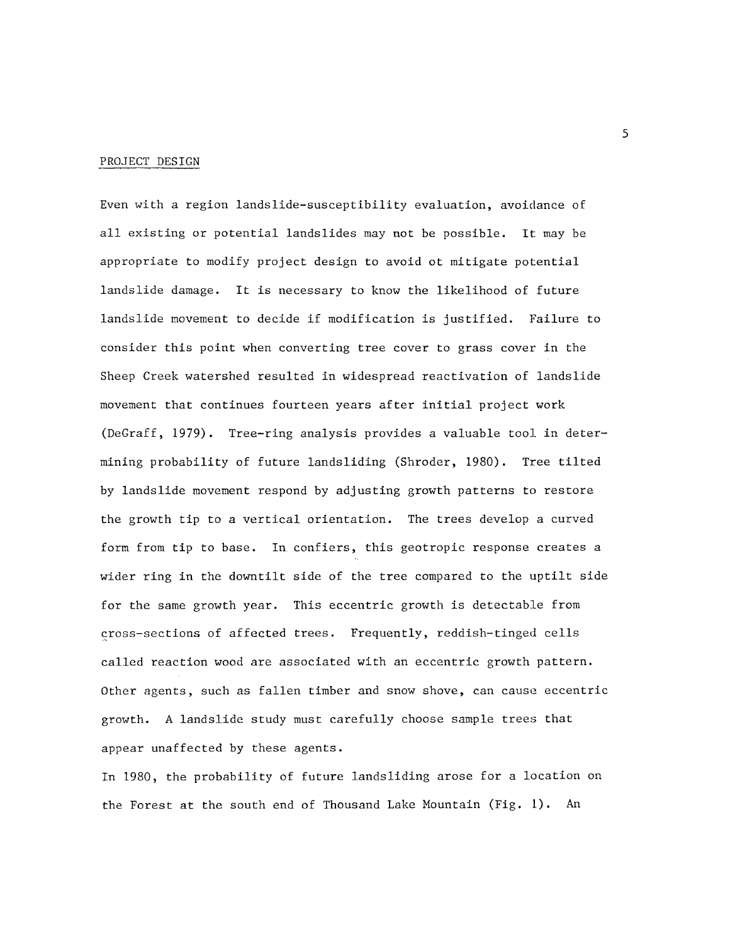#### PROJECT DESIGN

Even with a region landslide-susceptibility evaluation, avoidance of all existing or potential landslides may not be possible. It may be appropriate to modify project design to avoid ot mitigate potential landslide damage. It is necessary to know the likelihood of future landslide movement to decide if modification is justified. Failure to consider this point when converting tree cover to grass cover in the Sheep Creek watershed resulted in widespread reactivation of landslide movement that continues fourteen years after initial project work (DeGraff, 1979). Tree-ring analysis provides a valuable tool in determining probability of future landsliding (Shroder, 1980). Tree tilted by landslide movement respond by adjusting growth patterns to restore the growth tip to a vertical orientation. The trees develop a curved form from tip to base. In confiers, this geotropic response creates a wider ring in the downtilt side of the tree compared to the uptilt side for the same growth year. This eccentric growth is detectable from cross-sections of affected trees. Frequently, reddish-tinged cells called reaction wood are associated with an eccentric growth pattern. Other agents, such as fallen timber and snow shove, can cause eccentric growth. A landslide study must carefully choose sample trees that appear unaffected by these agents.

In 1980, the probability of future landsliding arose for a location on the Forest at the south end of Thousand Lake Mountain (Fig. **1). An**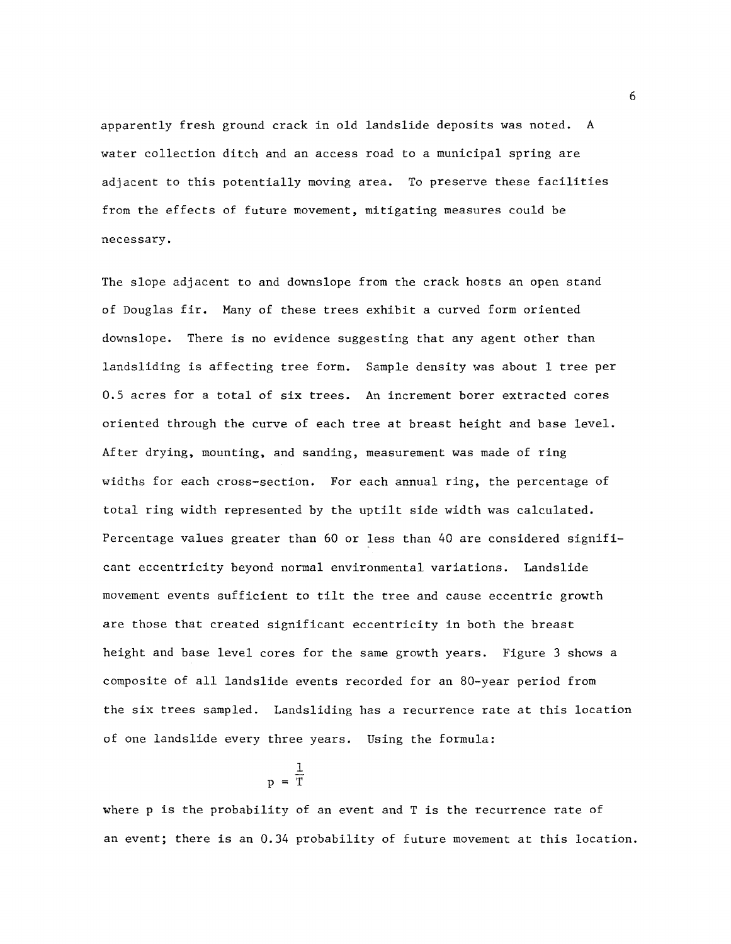apparently fresh ground crack in old landslide deposits was noted. A water collection ditch and an access road to a municipal spring are adjacent to this potentially moving area. To preserve these facilities from the effects of future movement, mitigating measures could be necessary.

The slope adjacent to and downslope from the crack hosts an open stand of Douglas fir. Many of these trees exhibit a curved form oriented downslope. There is no evidence suggesting that any agent other than landsliding is affecting tree form. Sample density was about 1 tree per 0.5 acres for a total of six trees. An increment borer extracted cores oriented through the curve of each tree at breast height and base level. After drying, mounting, and sanding, measurement was made of ring widths for each cross-section. For each annual ring, the percentage of total ring width represented by the uptilt side width was calculated. Percentage values greater than 60 or less than 40 are considered significant eccentricity beyond normal environmental variations. Landslide movement events sufficient to tilt the tree and cause eccentric growth are those that created significant eccentricity in both the breast height and base level cores for the same growth years. Figure 3 shows a composite of all landslide events recorded for an 80-year period from the six trees sampled. Landsliding has a recurrence rate at this location of one landslide every three years. Using the formula:

$$
p = \frac{1}{T}
$$

where p is the probability of an event and T is the recurrence rate of an event; there is an 0.34 probability of future movement at this location.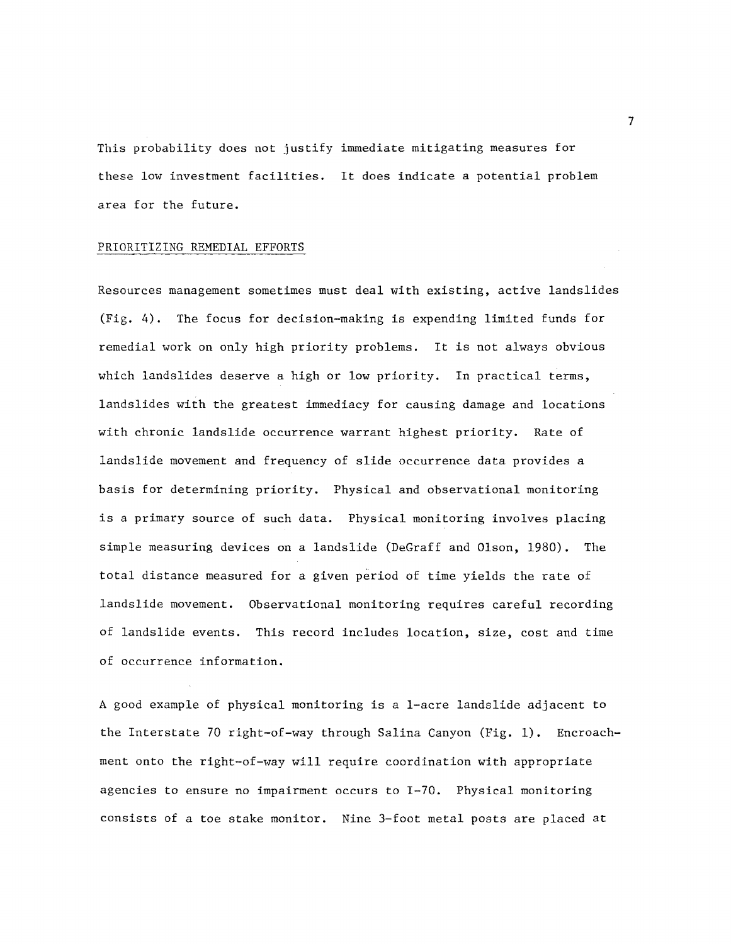This probability does not justify immediate mitigating measures for these low investment facilities. It does indicate a potential problem area for the future.

#### PRIORITIZING REMEDIAL EFFORTS

Resources management sometimes must deal with existing, active landslides (Fig. 4). The focus for decision-making is expending limited funds for remedial work on only high priority problems. It is not always obvious which landslides deserve a high or low priority. In practical terms, landslides with the greatest immediacy for causing damage and locations with chronic landslide occurrence warrant highest priority. Rate of landslide movement and frequency of slide occurrence data provides a basis for determining priority. Physical and observational monitoring is a primary source of such data. Physical monitoring involves placing simple measuring devices on a landslide (DeGraff and Olson, 1980). The total distance measured for a given period of time yields the rate of landslide movement. Observational monitoring requires careful recording of landslide events. This record includes location, size, cost and time of occurrence information.

A good example of physical monitoring is a I-acre landslide adjacent to the Interstate 70 right-of-way through Salina Canyon (Fig. 1). Encroachment onto the right-of-way will require coordination with appropriate agencies to ensure no impairment occurs to 1-70. Physical monitoring consists of a toe stake monitor. Nine 3-foot metal posts are placed at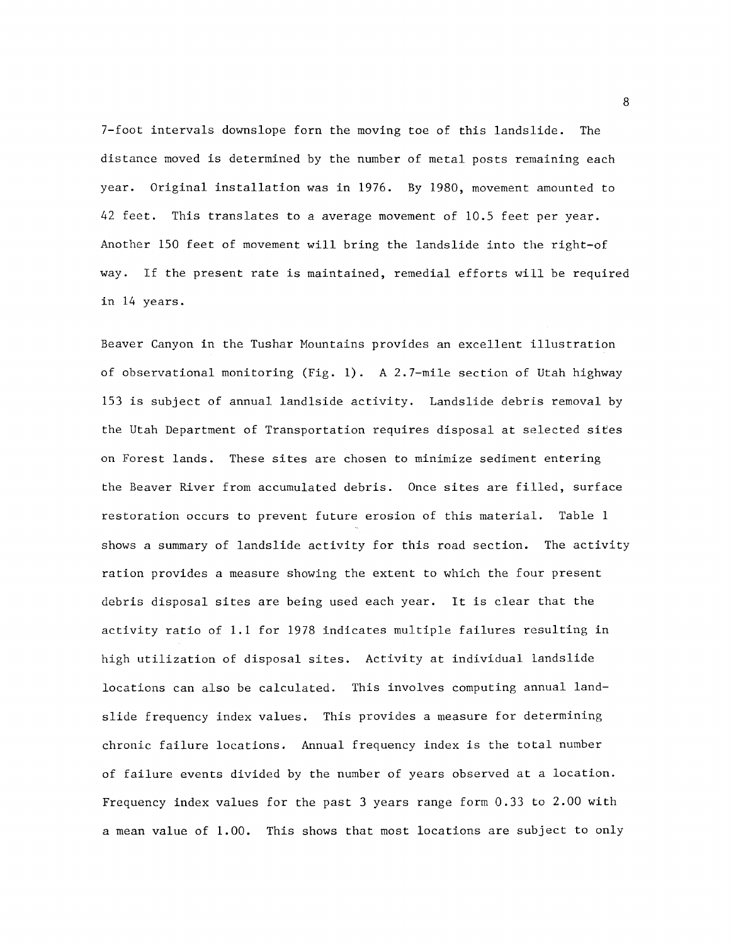7-foot intervals downslope forn the moving toe of this landslide. The distance moved is determined by the number of metal posts remaining each year. Original installation was in 1976. By 1980, movement amounted to 42 feet. This translates to a average movement of 10.5 feet per year. Another 150 feet of movement will bring the landslide into the right-of way. If the present rate is maintained, remedial efforts will be required in 14 years.

Beaver Canyon in the Tushar Mountains provides an excellent illustration of observational monitoring (Fig. 1). A 2.7-mile section of Utah highway 153 is subject of annual landlside activity. Landslide debris removal by the Utah Department of Transportation requires disposal at selected sites on Forest lands. These sites are chosen to minimize sediment entering the Beaver River from accumulated debris. Once sites are filled, surface restoration occurs to prevent future erosion of this material. Table 1 shows a summary of landslide activity for this road section. The activity ration provides a measure showing the extent to which the four present debris disposal sites are being used each year. It is clear that the activity ratio of **1.1** for 1978 indicates multiple failures resulting in high utilization of disposal sites. Activity at individual landslide locations can also be calculated. This involves computing annual landslide frequency index values. This provides a measure for determining chronic failure locations. Annual frequency index is the total number of failure events divided by the number of years observed at a location. Frequency index values for the past 3 years range form 0.33 to 2.00 with a mean value of 1.00. This shows that most locations are subject to only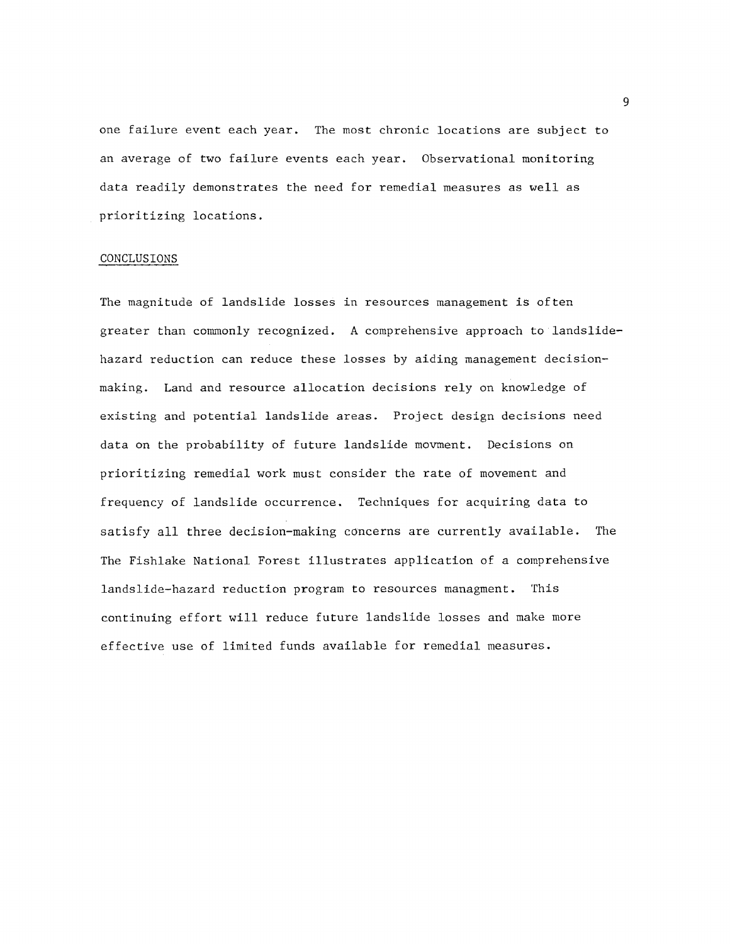one failure event each year. The most chronic locations are subject to an average of two failure events each year. Observational monitoring data readily demonstrates the need for remedial measures as well as prioritizing locations.

### CONCLUSIONS

The magnitude of landslide losses in resources management is often greater than commonly recognized. A comprehensive approach to landslidehazard reduction can reduce these losses by aiding management decisionmaking. Land and resource allocation decisions rely on knowledge of existing and potential landslide areas. Project design decisions need data on the probability of future landslide movment. Decisions on prioritizing remedial work must consider the rate of movement and frequency of landslide occurrence. Techniques for acquiring data to satisfy all three decision-making concerns are currently available. The The Fishlake National Forest illustrates application of a comprehensive landslide-hazard reduction program to resources managment. This continuing effort will reduce future landslide losses and make more effective use of limited funds available for remedial measures.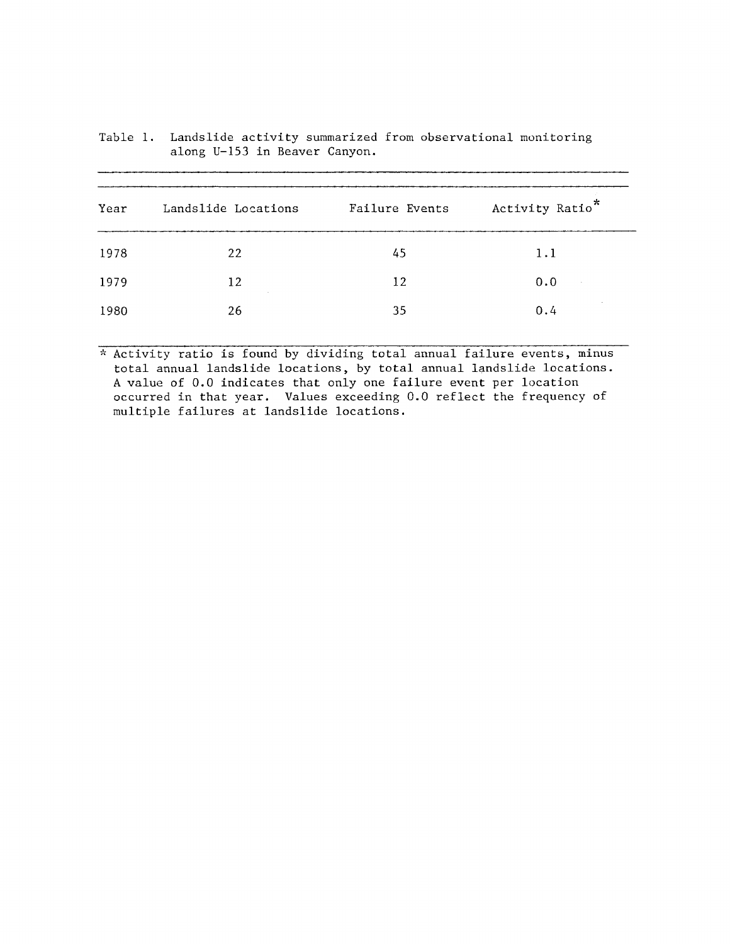| Year | Landslide Locations | Failure Events | Activity Ratio <sup>*</sup> |
|------|---------------------|----------------|-----------------------------|
| 1978 | 22                  | 45             | 1.1                         |
| 1979 | 12                  | 12             | 0.0                         |
| 1980 | 26                  | 35             | 0.4                         |

Table 1. Landslide activity summarized from observational monitoring along U-153 in Beaver Canyon.

\* Activity ratio is found by dividing total annual failure events, minus<br>total annual landslide locations, by total annual landslide locations. A value of 0.0 indicates that only one failure event per location occurred in that year. Values exceeding 0.0 reflect the frequency of multiple failures at landslide locations.

Table 1. Landslide activity summarized from observation  $\mathcal{L}_\mathcal{A}$  and  $\mathcal{L}_\mathcal{A}$  and  $\mathcal{L}_\mathcal{A}$  and  $\mathcal{L}_\mathcal{A}$  and  $\mathcal{L}_\mathcal{A}$  and  $\mathcal{L}_\mathcal{A}$  and  $\mathcal{L}_\mathcal{A}$  and  $\mathcal{L}_\mathcal{A}$  and  $\mathcal{L}_\mathcal{A}$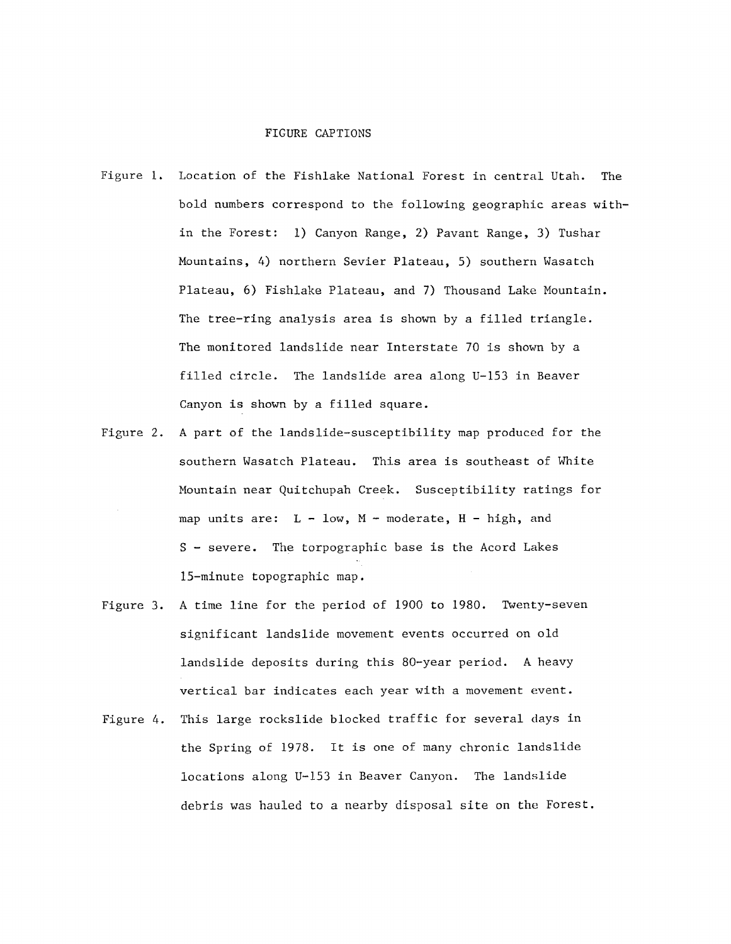### FIGURE CAPTIONS

- Figure **1.** Location of the Fishlake National Forest in central Utah. The bold numbers correspond to the following geographic areas within the Forest: 1) Canyon Range, 2) Pavant Range, 3) Tushar Mountains, 4) northern Sevier Plateau, S) southern Wasatch Plateau, 6) Fishlake Plateau, and 7) Thousand Lake Mountain. The tree-ring analysis area is shown by a filled triangle. The monitored landslide near Interstate 70 is shown by a filled circle. The landslide area along U-lS3 in Beaver Canyon is shown by a filled square.
- Figure 2. A part of the landslide-susceptibility map produced for the southern Wasatch Plateau. This area is southeast of White Mountain near Quitchupah Creek. Susceptibility ratings for map units are:  $L - low$ ,  $M - moderate$ ,  $H - high$ , and S - severe. The torpographic base is the Acord Lakes IS-minute topographic map.
- Figure 3. A time line for the period of 1900 to 1930. Twenty-seven significant landslide movement events occurred on old landslide deposits during this 30-year period. A heavy vertical bar indicates each year with a movement event.
- Figure 4. This large rockslide blocked traffic for several days in the Spring of 1978. **It** is one of many chronic landslide locations along U-lS3 in Beaver Canyon. The landslide debris was hauled to a nearby disposal site on the Forest.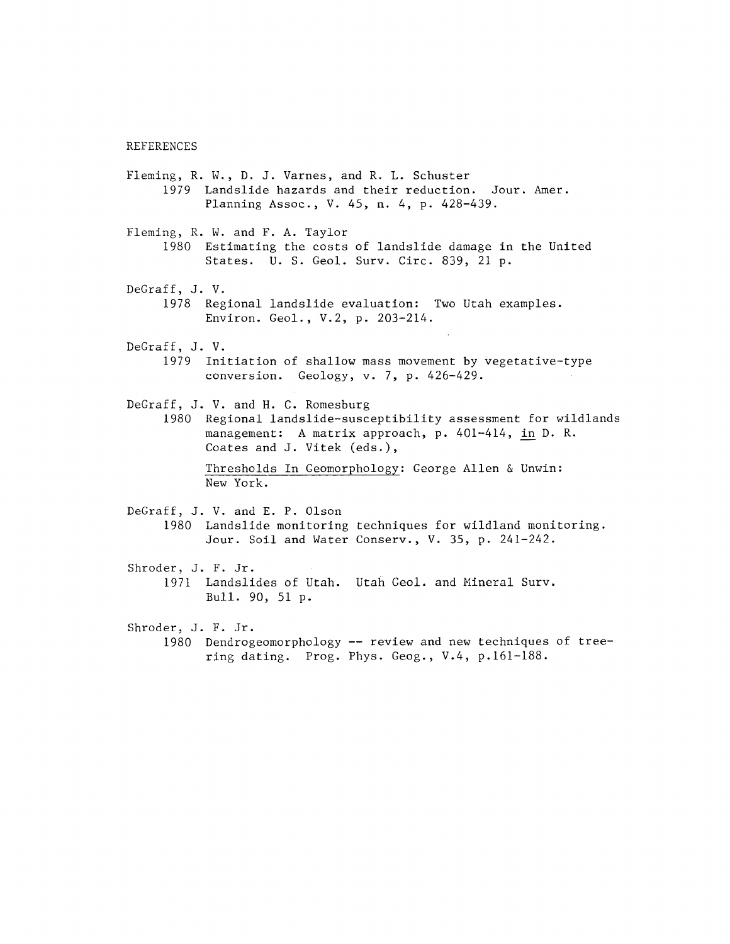# REFERENCES

Fleming, R. W., D. J. Varnes, and R. L. Schuster 1979 Landslide hazards and their reduction. Jour. Amer. Planning Assoc., V. 45, n. 4, p. 428-439. Fleming, R. W. and F. A. Taylor 1980 Estimating the costs of landslide damage in the United States. U. S. Geol. Surv. Circ. 839, 21 p. DeGraff, J. V. 1978 Regional landslide evaluation: Two Utah examples. Environ. Geol., V.2, p. 203-214. DeGraff, J. V. 1979 Initiation of shallow mass movement by vegetative-type conversion. Geology, v. 7, p. 426-429. DeGraff, J. V. and H. C. Romesburg 1980 Regional landslide-susceptibility assessment for wildlands management: A matrix approach, p. 401-414, in D. R. Coates and J. Vitek (eds.), Thresholds In Geomorphology: George Allen & Unwin: New York. DeGraff, J. V. and E. P. Olson 1980 Landslide monitoring techniques for wildland monitoring. Jour. Soil and Water Conserv., V. 35, p. 241-242. Shroder, J. F. Jr. 1971 Landslides of Utah. Utah Geol. and Mineral Surv. Bull. 90, 51 p. Shroder, J. F. Jr. 1980 Dendrogeomorphology -- review and new techniques of treering dating. Prog. Phys. Geog., V.4, p.161-188.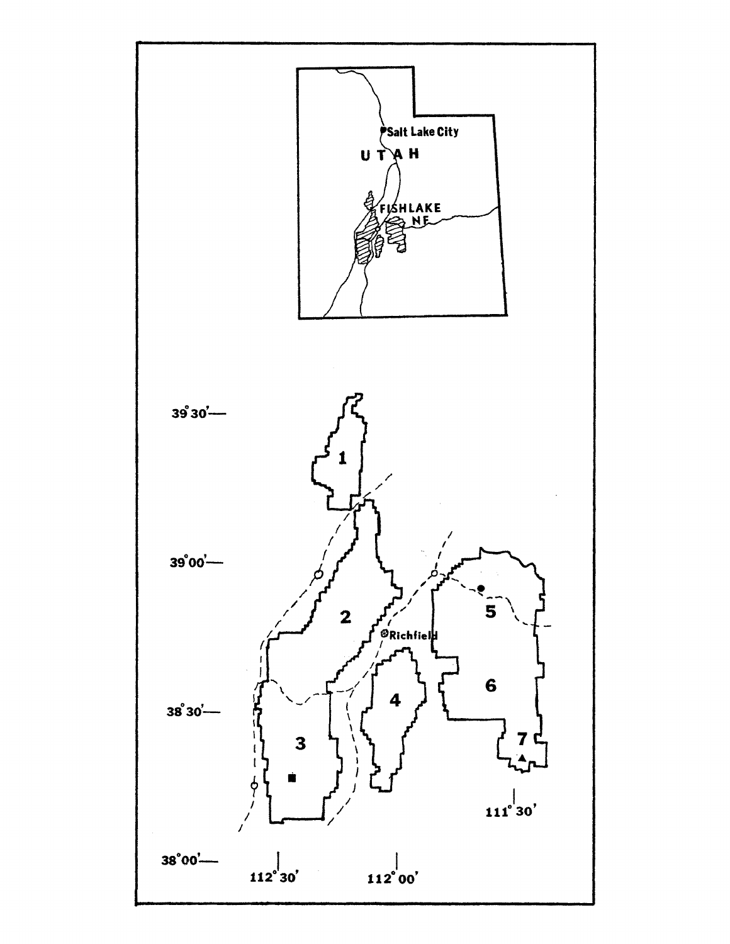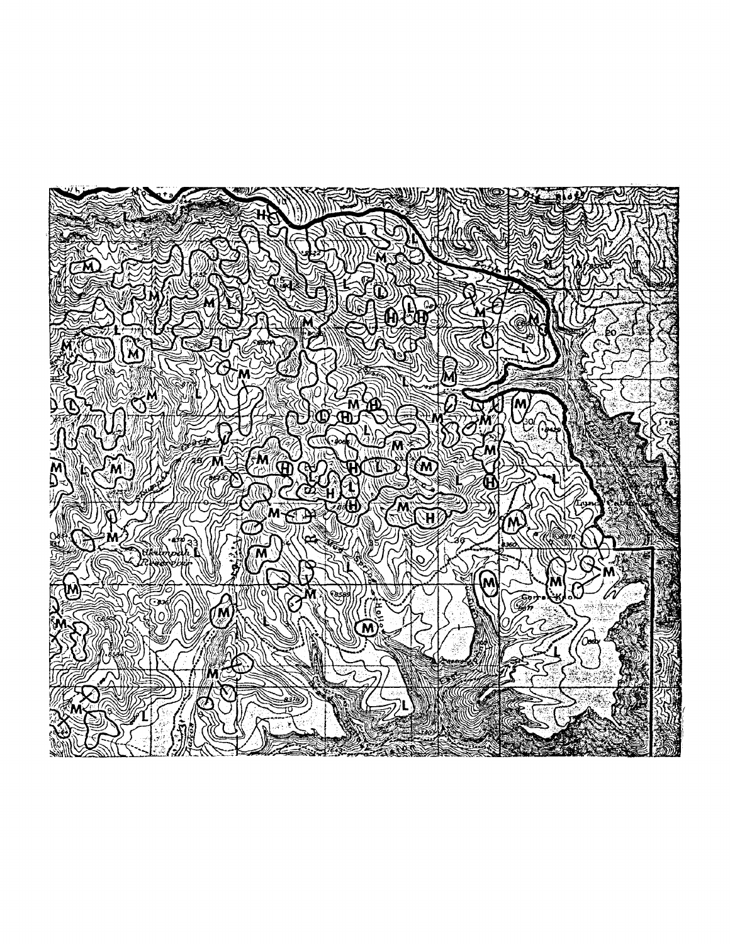